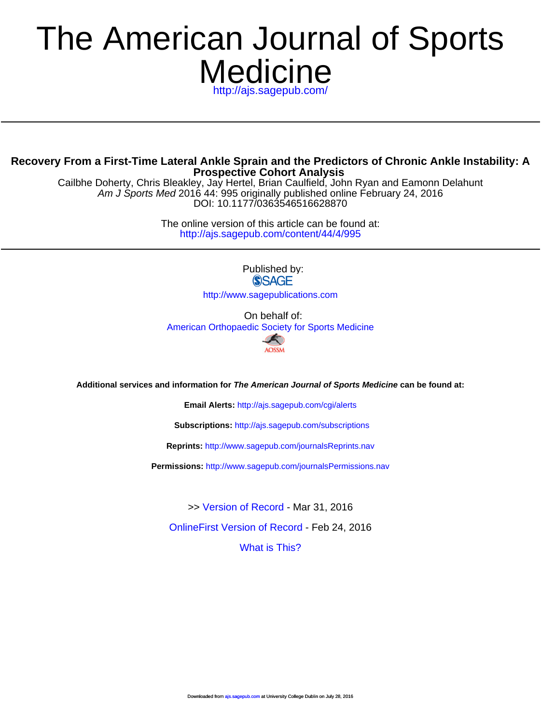# **Medicine** The American Journal of Sports

<http://ajs.sagepub.com/>

#### **Prospective Cohort Analysis Recovery From a First-Time Lateral Ankle Sprain and the Predictors of Chronic Ankle Instability: A**

DOI: 10.1177/0363546516628870 Am J Sports Med 2016 44: 995 originally published online February 24, 2016 Cailbhe Doherty, Chris Bleakley, Jay Hertel, Brian Caulfield, John Ryan and Eamonn Delahunt

> <http://ajs.sagepub.com/content/44/4/995> The online version of this article can be found at:

> > Published by: **SSAGE**

<http://www.sagepublications.com>

On behalf of:

[American Orthopaedic Society for Sports Medicine](http://www.sportsmed.org)



**Additional services and information for The American Journal of Sports Medicine can be found at:**

**Email Alerts:** <http://ajs.sagepub.com/cgi/alerts>

**Subscriptions:** <http://ajs.sagepub.com/subscriptions>

**Reprints:** <http://www.sagepub.com/journalsReprints.nav>

**Permissions:** <http://www.sagepub.com/journalsPermissions.nav>

>> [Version of Record -](http://ajs.sagepub.com/content/44/4/995.full.pdf) Mar 31, 2016

[OnlineFirst Version of Record -](http://ajs.sagepub.com/content/early/2016/02/23/0363546516628870.full.pdf) Feb 24, 2016

[What is This?](http://online.sagepub.com/site/sphelp/vorhelp.xhtml)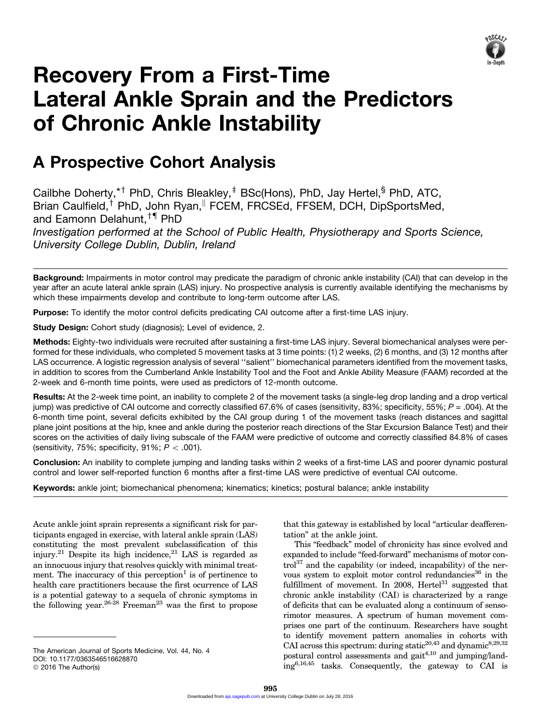

## Recovery From a First-Time Lateral Ankle Sprain and the Predictors of Chronic Ankle Instability

### A Prospective Cohort Analysis

Cailbhe Doherty,<sup>\*†</sup> PhD, Chris Bleakley,<sup>‡</sup> BSc(Hons), PhD, Jay Hertel, <sup>§</sup> PhD, ATC, Brian Caulfield,<sup>†</sup> PhD, John Ryan,<sup>||</sup> FCEM, FRCSEd, FFSEM, DCH, DipSportsMed, and Eamonn Delahunt.<sup>†¶</sup> PhD *Investigation performed at the School of Public Health, Physiotherapy and Sports Science,*

*University College Dublin, Dublin, Ireland*

Background: Impairments in motor control may predicate the paradigm of chronic ankle instability (CAI) that can develop in the year after an acute lateral ankle sprain (LAS) injury. No prospective analysis is currently available identifying the mechanisms by which these impairments develop and contribute to long-term outcome after LAS.

Purpose: To identify the motor control deficits predicating CAI outcome after a first-time LAS injury.

Study Design: Cohort study (diagnosis); Level of evidence, 2.

Methods: Eighty-two individuals were recruited after sustaining a first-time LAS injury. Several biomechanical analyses were performed for these individuals, who completed 5 movement tasks at 3 time points: (1) 2 weeks, (2) 6 months, and (3) 12 months after LAS occurrence. A logistic regression analysis of several ''salient'' biomechanical parameters identified from the movement tasks, in addition to scores from the Cumberland Ankle Instability Tool and the Foot and Ankle Ability Measure (FAAM) recorded at the 2-week and 6-month time points, were used as predictors of 12-month outcome.

Results: At the 2-week time point, an inability to complete 2 of the movement tasks (a single-leg drop landing and a drop vertical jump) was predictive of CAI outcome and correctly classified 67.6% of cases (sensitivity, 83%; specificity, 55%; *P* = .004). At the 6-month time point, several deficits exhibited by the CAI group during 1 of the movement tasks (reach distances and sagittal plane joint positions at the hip, knee and ankle during the posterior reach directions of the Star Excursion Balance Test) and their scores on the activities of daily living subscale of the FAAM were predictive of outcome and correctly classified 84.8% of cases (sensitivity, 75%; specificity, 91%;  $P < .001$ ).

Conclusion: An inability to complete jumping and landing tasks within 2 weeks of a first-time LAS and poorer dynamic postural control and lower self-reported function 6 months after a first-time LAS were predictive of eventual CAI outcome.

Keywords: ankle joint; biomechanical phenomena; kinematics; kinetics; postural balance; ankle instability

Acute ankle joint sprain represents a significant risk for participants engaged in exercise, with lateral ankle sprain (LAS) constituting the most prevalent subclassification of this injury.<sup>21</sup> Despite its high incidence,<sup>21</sup> LAS is regarded as an innocuous injury that resolves quickly with minimal treatment. The inaccuracy of this perception<sup>1</sup> is of pertinence to health care practitioners because the first ocurrence of LAS is a potential gateway to a sequela of chronic symptoms in the following year.<sup>26-28</sup> Freeman<sup>23</sup> was the first to propose

that this gateway is established by local ''articular deafferentation'' at the ankle joint.

This "feedback" model of chronicity has since evolved and expanded to include ''feed-forward'' mechanisms of motor con- $\text{trol}^{37}$  and the capability (or indeed, incapability) of the nervous system to exploit motor control redundancies<sup>36</sup> in the fulfillment of movement. In  $2008$ , Hertel $^{31}$  suggested that chronic ankle instability (CAI) is characterized by a range of deficits that can be evaluated along a continuum of sensorimotor measures. A spectrum of human movement comprises one part of the continuum. Researchers have sought to identify movement pattern anomalies in cohorts with CAI across this spectrum: during static<sup>20,43</sup> and dynamic<sup>8,29,32</sup> postural control assessments and gait $4,10$  and jumping/landing6,16,45 tasks. Consequently, the gateway to CAI is

The American Journal of Sports Medicine, Vol. 44, No. 4 DOI: 10.1177/0363546516628870

<sup>© 2016</sup> The Author(s)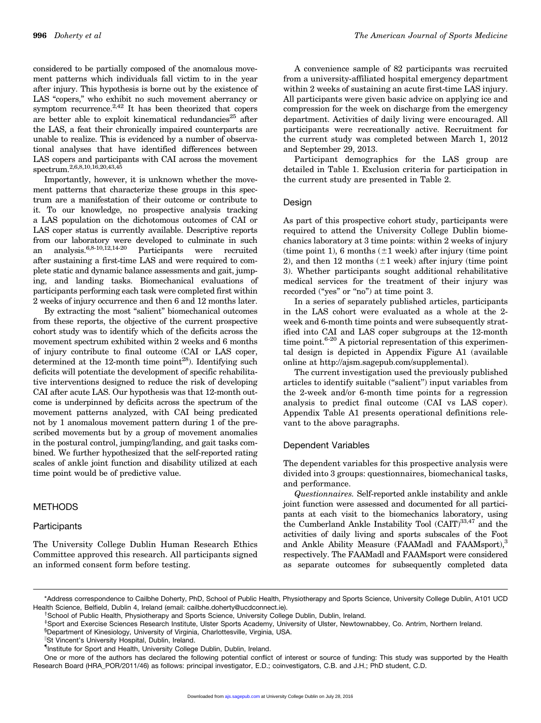considered to be partially composed of the anomalous movement patterns which individuals fall victim to in the year after injury. This hypothesis is borne out by the existence of LAS "copers," who exhibit no such movement aberrancy or symptom recurrence. $^{2,42}$  It has been theorized that copers are better able to exploit kinematical redundancies<sup>25</sup> after the LAS, a feat their chronically impaired counterparts are unable to realize. This is evidenced by a number of observational analyses that have identified differences between LAS copers and participants with CAI across the movement spectrum.2,6,8,10,16,20,43,45

Importantly, however, it is unknown whether the movement patterns that characterize these groups in this spectrum are a manifestation of their outcome or contribute to it. To our knowledge, no prospective analysis tracking a LAS population on the dichotomous outcomes of CAI or LAS coper status is currently available. Descriptive reports from our laboratory were developed to culminate in such an analysis.<sup>6,8-10,12,14-20</sup> Participants were recruited an analysis.  $6,8-10,12,14-20$  Participants were recruited after sustaining a first-time LAS and were required to complete static and dynamic balance assessments and gait, jumping, and landing tasks. Biomechanical evaluations of participants performing each task were completed first within 2 weeks of injury occurrence and then 6 and 12 months later.

By extracting the most "salient" biomechanical outcomes from these reports, the objective of the current prospective cohort study was to identify which of the deficits across the movement spectrum exhibited within 2 weeks and 6 months of injury contribute to final outcome (CAI or LAS coper, determined at the 12-month time point<sup>28</sup>). Identifying such deficits will potentiate the development of specific rehabilitative interventions designed to reduce the risk of developing CAI after acute LAS. Our hypothesis was that 12-month outcome is underpinned by deficits across the spectrum of the movement patterns analyzed, with CAI being predicated not by 1 anomalous movement pattern during 1 of the prescribed movements but by a group of movement anomalies in the postural control, jumping/landing, and gait tasks combined. We further hypothesized that the self-reported rating scales of ankle joint function and disability utilized at each time point would be of predictive value.

#### METHODS

#### **Participants**

The University College Dublin Human Research Ethics Committee approved this research. All participants signed an informed consent form before testing.

A convenience sample of 82 participants was recruited from a university-affiliated hospital emergency department within 2 weeks of sustaining an acute first-time LAS injury. All participants were given basic advice on applying ice and compression for the week on discharge from the emergency department. Activities of daily living were encouraged. All participants were recreationally active. Recruitment for the current study was completed between March 1, 2012 and September 29, 2013.

Participant demographics for the LAS group are detailed in Table 1. Exclusion criteria for participation in the current study are presented in Table 2.

#### **Design**

As part of this prospective cohort study, participants were required to attend the University College Dublin biomechanics laboratory at 3 time points: within 2 weeks of injury (time point 1), 6 months  $(\pm 1$  week) after injury (time point 2), and then 12 months  $(\pm 1$  week) after injury (time point 3). Whether participants sought additional rehabilitative medical services for the treatment of their injury was recorded ("yes" or "no") at time point 3.

In a series of separately published articles, participants in the LAS cohort were evaluated as a whole at the 2 week and 6-month time points and were subsequently stratified into CAI and LAS coper subgroups at the 12-month time point. $6-20$  A pictorial representation of this experimental design is depicted in Appendix Figure A1 (available online at http://ajsm.sagepub.com/supplemental).

The current investigation used the previously published articles to identify suitable (''salient'') input variables from the 2-week and/or 6-month time points for a regression analysis to predict final outcome (CAI vs LAS coper). Appendix Table A1 presents operational definitions relevant to the above paragraphs.

#### Dependent Variables

The dependent variables for this prospective analysis were divided into 3 groups: questionnaires, biomechanical tasks, and performance.

Questionnaires. Self-reported ankle instability and ankle joint function were assessed and documented for all participants at each visit to the biomechanics laboratory, using the Cumberland Ankle Instability Tool (CAIT)<sup>33,47</sup> and the activities of daily living and sports subscales of the Foot and Ankle Ability Measure (FAAMadl and FAAMsport),<sup>3</sup> respectively. The FAAMadl and FAAMsport were considered as separate outcomes for subsequently completed data

<sup>\*</sup>Address correspondence to Cailbhe Doherty, PhD, School of Public Health, Physiotherapy and Sports Science, University College Dublin, A101 UCD Health Science, Belfield, Dublin 4, Ireland (email: cailbhe.doherty@ucdconnect.ie).

<sup>&</sup>lt;sup>t</sup>School of Public Health, Physiotherapy and Sports Science, University College Dublin, Dublin, Ireland.

z Sport and Exercise Sciences Research Institute, Ulster Sports Academy, University of Ulster, Newtownabbey, Co. Antrim, Northern Ireland.

<sup>§</sup> Department of Kinesiology, University of Virginia, Charlottesville, Virginia, USA.

<sup>&</sup>lt;sup>II</sup>St Vincent's University Hospital, Dublin, Ireland.

<sup>{</sup> Institute for Sport and Health, University College Dublin, Dublin, Ireland.

One or more of the authors has declared the following potential conflict of interest or source of funding: This study was supported by the Health Research Board (HRA\_POR/2011/46) as follows: principal investigator, E.D.; coinvestigators, C.B. and J.H.; PhD student, C.D.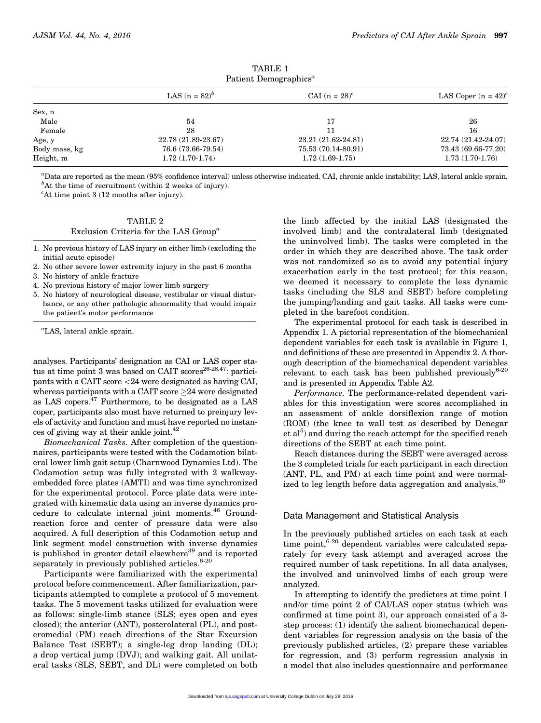|               | LAS $(n = 82)^b$    | CAI $(n = 28)^c$    | LAS Coper $(n = 42)^c$ |  |  |
|---------------|---------------------|---------------------|------------------------|--|--|
| Sex, n        |                     |                     |                        |  |  |
| Male          | 54                  | 17                  | 26                     |  |  |
| Female        | 28                  |                     | 16                     |  |  |
| Age, y        | 22.78 (21.89-23.67) | 23.21 (21.62-24.81) | 22.74 (21.42-24.07)    |  |  |
| Body mass, kg | 76.6 (73.66-79.54)  | 75.53 (70.14-80.91) | 73.43 (69.66-77.20)    |  |  |
| Height, m     | $1.72(1.70-1.74)$   | $1.72(1.69-1.75)$   | $1.73(1.70-1.76)$      |  |  |

TABLE 1 Patient Demographics<sup>a</sup>

<sup>a</sup>Data are reported as the mean (95% confidence interval) unless otherwise indicated. CAI, chronic ankle instability; LAS, lateral ankle sprain.  $b^b$  at the time of recruitment (within 2 weeks of injury)  ${}^{b}$ At the time of recruitment (within 2 weeks of injury).

 $c^c$ At time point 3 (12 months after injury).

TABLE 2 Exclusion Criteria for the LAS  $Group<sup>a</sup>$ 

- 1. No previous history of LAS injury on either limb (excluding the initial acute episode)
- 2. No other severe lower extremity injury in the past 6 months
- 3. No history of ankle fracture
- 4. No previous history of major lower limb surgery
- 5. No history of neurological disease, vestibular or visual disturbance, or any other pathologic abnormality that would impair the patient's motor performance

a LAS, lateral ankle sprain.

analyses. Participants' designation as CAI or LAS coper status at time point 3 was based on CAIT scores<sup>26-28,47</sup>: participants with a CAIT score <24 were designated as having CAI, whereas participants with a CAIT score  ${\geq}24$  were designated as LAS copers.47 Furthermore, to be designated as a LAS coper, participants also must have returned to preinjury levels of activity and function and must have reported no instances of giving way at their ankle joint.  $42$ 

Biomechanical Tasks. After completion of the questionnaires, participants were tested with the Codamotion bilateral lower limb gait setup (Charnwood Dynamics Ltd). The Codamotion setup was fully integrated with 2 walkwayembedded force plates (AMTI) and was time synchronized for the experimental protocol. Force plate data were integrated with kinematic data using an inverse dynamics procedure to calculate internal joint moments.<sup>46</sup> Groundreaction force and center of pressure data were also acquired. A full description of this Codamotion setup and link segment model construction with inverse dynamics is published in greater detail elsewhere<sup>39</sup> and is reported separately in previously published articles.  $6-20$ 

Participants were familiarized with the experimental protocol before commencement. After familiarization, participants attempted to complete a protocol of 5 movement tasks. The 5 movement tasks utilized for evaluation were as follows: single-limb stance (SLS; eyes open and eyes closed); the anterior (ANT), posterolateral (PL), and posteromedial (PM) reach directions of the Star Excursion Balance Test (SEBT); a single-leg drop landing (DL); a drop vertical jump (DVJ); and walking gait. All unilateral tasks (SLS, SEBT, and DL) were completed on both

the limb affected by the initial LAS (designated the involved limb) and the contralateral limb (designated the uninvolved limb). The tasks were completed in the order in which they are described above. The task order was not randomized so as to avoid any potential injury exacerbation early in the test protocol; for this reason, we deemed it necessary to complete the less dynamic tasks (including the SLS and SEBT) before completing the jumping/landing and gait tasks. All tasks were completed in the barefoot condition.

The experimental protocol for each task is described in Appendix 1. A pictorial representation of the biomechanical dependent variables for each task is available in Figure 1, and definitions of these are presented in Appendix 2. A thorough description of the biomechanical dependent variables relevant to each task has been published previously $6-20$ and is presented in Appendix Table A2.

Performance. The performance-related dependent variables for this investigation were scores accomplished in an assessment of ankle dorsiflexion range of motion (ROM) (the knee to wall test as described by Denegar et al<sup>5</sup>) and during the reach attempt for the specified reach directions of the SEBT at each time point.

Reach distances during the SEBT were averaged across the 3 completed trials for each participant in each direction (ANT, PL, and PM) at each time point and were normalized to leg length before data aggregation and analysis.<sup>30</sup>

#### Data Management and Statistical Analysis

In the previously published articles on each task at each time point, $6-20$  dependent variables were calculated separately for every task attempt and averaged across the required number of task repetitions. In all data analyses, the involved and uninvolved limbs of each group were analyzed.

In attempting to identify the predictors at time point 1 and/or time point 2 of CAI/LAS coper status (which was confirmed at time point 3), our approach consisted of a 3 step process: (1) identify the salient biomechanical dependent variables for regression analysis on the basis of the previously published articles, (2) prepare these variables for regression, and (3) perform regression analysis in a model that also includes questionnaire and performance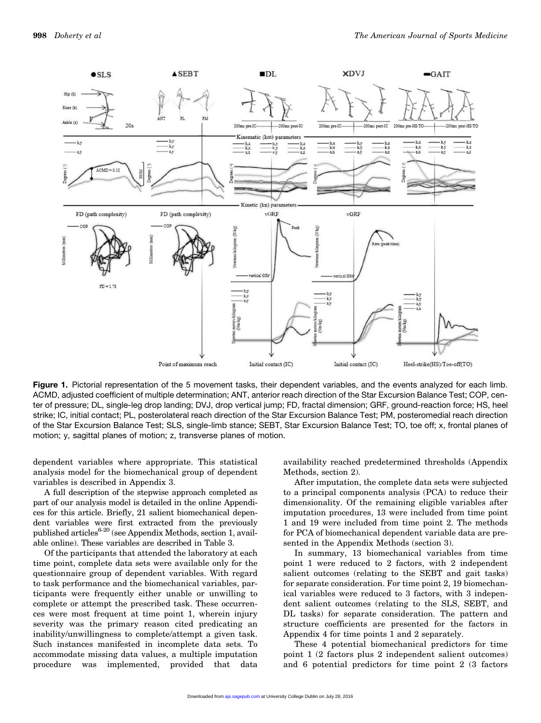

Figure 1. Pictorial representation of the 5 movement tasks, their dependent variables, and the events analyzed for each limb. ACMD, adjusted coefficient of multiple determination; ANT, anterior reach direction of the Star Excursion Balance Test; COP, center of pressure; DL, single-leg drop landing; DVJ, drop vertical jump; FD, fractal dimension; GRF, ground-reaction force; HS, heel strike; IC, initial contact; PL, posterolateral reach direction of the Star Excursion Balance Test; PM, posteromedial reach direction of the Star Excursion Balance Test; SLS, single-limb stance; SEBT, Star Excursion Balance Test; TO, toe off; x, frontal planes of motion; y, sagittal planes of motion; z, transverse planes of motion.

dependent variables where appropriate. This statistical analysis model for the biomechanical group of dependent variables is described in Appendix 3.

A full description of the stepwise approach completed as part of our analysis model is detailed in the online Appendices for this article. Briefly, 21 salient biomechanical dependent variables were first extracted from the previously published articles<sup>6-20</sup> (see Appendix Methods, section 1, available online). These variables are described in Table 3.

Of the participants that attended the laboratory at each time point, complete data sets were available only for the questionnaire group of dependent variables. With regard to task performance and the biomechanical variables, participants were frequently either unable or unwilling to complete or attempt the prescribed task. These occurrences were most frequent at time point 1, wherein injury severity was the primary reason cited predicating an inability/unwillingness to complete/attempt a given task. Such instances manifested in incomplete data sets. To accommodate missing data values, a multiple imputation procedure was implemented, provided that data availability reached predetermined thresholds (Appendix Methods, section 2).

After imputation, the complete data sets were subjected to a principal components analysis (PCA) to reduce their dimensionality. Of the remaining eligible variables after imputation procedures, 13 were included from time point 1 and 19 were included from time point 2. The methods for PCA of biomechanical dependent variable data are presented in the Appendix Methods (section 3).

In summary, 13 biomechanical variables from time point 1 were reduced to 2 factors, with 2 independent salient outcomes (relating to the SEBT and gait tasks) for separate consideration. For time point 2, 19 biomechanical variables were reduced to 3 factors, with 3 independent salient outcomes (relating to the SLS, SEBT, and DL tasks) for separate consideration. The pattern and structure coefficients are presented for the factors in Appendix 4 for time points 1 and 2 separately.

These 4 potential biomechanical predictors for time point 1 (2 factors plus 2 independent salient outcomes) and 6 potential predictors for time point 2 (3 factors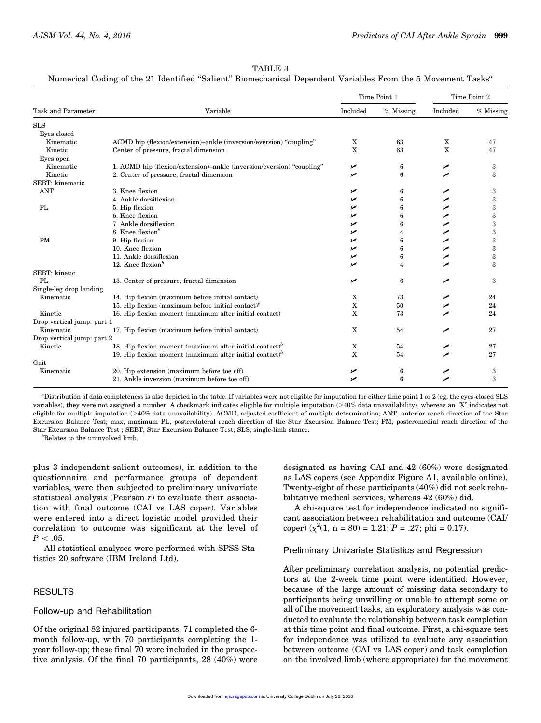| TABLE 3 |  |
|---------|--|
|---------|--|

Numerical Coding of the 21 Identified "Salient" Biomechanical Dependent Variables From the 5 Movement Tasks<sup>a</sup>

|                            |                                                                       | Time Point 1 |                | Time Point 2 |             |
|----------------------------|-----------------------------------------------------------------------|--------------|----------------|--------------|-------------|
| Task and Parameter         | Variable                                                              | Included     | $%$ Missing    | Included     | $%$ Missing |
| <b>SLS</b>                 |                                                                       |              |                |              |             |
| Eyes closed                |                                                                       |              |                |              |             |
| Kinematic                  | ACMD hip (flexion/extension)-ankle (inversion/eversion) "coupling"    | X            | 63             | X            | 47          |
| Kinetic                    | Center of pressure, fractal dimension                                 | $\mathbf x$  | 63             | $\mathbf X$  | 47          |
| Eyes open                  |                                                                       |              |                |              |             |
| Kinematic                  | 1. ACMD hip (flexion/extension)-ankle (inversion/eversion) "coupling" | مما          | 6              | مما          | 3           |
| Kinetic                    | 2. Center of pressure, fractal dimension                              | مما          | 6              | مما          | 3           |
| SEBT: kinematic            |                                                                       |              |                |              |             |
| <b>ANT</b>                 | 3. Knee flexion                                                       | ✔            | 6              | ✔            | 3           |
|                            | 4. Ankle dorsiflexion                                                 | مما          | 6              | مما          | $\,3$       |
| PL                         | 5. Hip flexion                                                        | ممن          | 6              | مما          | $\,3$       |
|                            | 6. Knee flexion                                                       | ممن          | 6              | مما          | $\,3$       |
|                            | 7. Ankle dorsiflexion                                                 | مما          | 6              | مما          | $\,3$       |
|                            | 8. Knee flexion <sup>b</sup>                                          | مما          | $\overline{4}$ | مما          | $\,3$       |
| <b>PM</b>                  | 9. Hip flexion                                                        | مما          | 6              | مما          | $\,3$       |
|                            | 10. Knee flexion                                                      | مما          | 6              | مما          | $\sqrt{3}$  |
|                            | 11. Ankle dorsiflexion                                                | مما          | 6              | ✔            | 3           |
|                            | 12. Knee flexion <sup>b</sup>                                         | ممن          | $\overline{4}$ | مما          | 3           |
| <b>SEBT:</b> kinetic       |                                                                       |              |                |              |             |
| PI.                        | 13. Center of pressure, fractal dimension                             | مما          | 6              | مما          | 3           |
| Single-leg drop landing    |                                                                       |              |                |              |             |
| Kinematic                  | 14. Hip flexion (maximum before initial contact)                      | X            | 73             | ↙            | 24          |
|                            | 15. Hip flexion (maximum before initial contact) <sup>b</sup>         | X            | 50             | ↙            | 24          |
| Kinetic                    | 16. Hip flexion moment (maximum after initial contact)                | $\mathbf x$  | 73             | ممن          | 24          |
| Drop vertical jump: part 1 |                                                                       |              |                |              |             |
| Kinematic                  | 17. Hip flexion (maximum before initial contact)                      | X            | 54             | مما          | 27          |
| Drop vertical jump: part 2 |                                                                       |              |                |              |             |
| Kinetic                    | 18. Hip flexion moment (maximum after initial contact) <sup>b</sup>   | X            | 54             | ✔            | 27          |
|                            | 19. Hip flexion moment (maximum after initial contact) $b$            | $\mathbf x$  | 54             | مما          | 27          |
| Gait                       |                                                                       |              |                |              |             |
| Kinematic                  | 20. Hip extension (maximum before toe off)                            | مما          | 6              | ➤            | 3           |
|                            | 21. Ankle inversion (maximum before toe off)                          | مما          | 6              | مما          | 3           |

a Distribution of data completeness is also depicted in the table. If variables were not eligible for imputation for either time point 1 or 2 (eg, the eyes-closed SLS variables), they were not assigned a number. A checkmark indicates eligible for multiple imputation (≥40% data unavailability), whereas an "X" indicates not eligible for multiple imputation (≥40% data unavailability). ACMD, adjusted coefficient of multiple determination; ANT, anterior reach direction of the Star Excursion Balance Test; max, maximum PL, posterolateral reach direction of the Star Excursion Balance Test; PM, posteromedial reach direction of the Star Excursion Balance Test ; SEBT, Star Excursion Balance Test; SLS, single-limb stance.

<sup>b</sup>Relates to the uninvolved limb.

plus 3 independent salient outcomes), in addition to the questionnaire and performance groups of dependent variables, were then subjected to preliminary univariate statistical analysis (Pearson  $r$ ) to evaluate their association with final outcome (CAI vs LAS coper). Variables were entered into a direct logistic model provided their correlation to outcome was significant at the level of  $P < .05$ .

All statistical analyses were performed with SPSS Statistics 20 software (IBM Ireland Ltd).

#### **RESULTS**

#### Follow-up and Rehabilitation

Of the original 82 injured participants, 71 completed the 6 month follow-up, with 70 participants completing the 1 year follow-up; these final 70 were included in the prospective analysis. Of the final 70 participants, 28 (40%) were designated as having CAI and 42 (60%) were designated as LAS copers (see Appendix Figure A1, available online). Twenty-eight of these participants (40%) did not seek rehabilitative medical services, whereas 42 (60%) did.

A chi-square test for independence indicated no significant association between rehabilitation and outcome (CAI/ coper)  $(\chi^2(1, n = 80) = 1.21; P = .27; \text{phi} = 0.17)$ .

#### Preliminary Univariate Statistics and Regression

After preliminary correlation analysis, no potential predictors at the 2-week time point were identified. However, because of the large amount of missing data secondary to participants being unwilling or unable to attempt some or all of the movement tasks, an exploratory analysis was conducted to evaluate the relationship between task completion at this time point and final outcome. First, a chi-square test for independence was utilized to evaluate any association between outcome (CAI vs LAS coper) and task completion on the involved limb (where appropriate) for the movement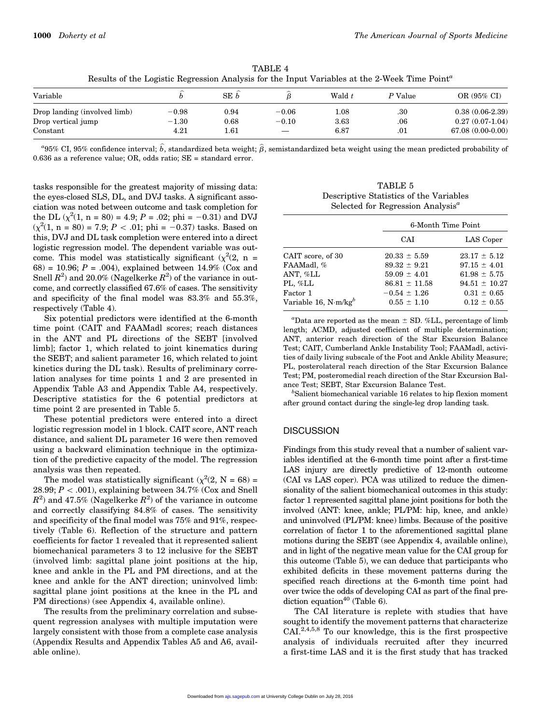| TABLE 4                                                                                         |  |
|-------------------------------------------------------------------------------------------------|--|
| Results of the Logistic Regression Analysis for the Input Variables at the 2-Week Time $Pointa$ |  |

| Variable                     |         | SEh  |         | Wald t | P Value | OR (95% CI)       |
|------------------------------|---------|------|---------|--------|---------|-------------------|
| Drop landing (involved limb) | $-0.98$ | 0.94 | $-0.06$ | 1.08   | $.30\,$ | $0.38(0.06-2.39)$ |
| Drop vertical jump           | $-1.30$ | 0.68 | $-0.10$ | 3.63   | .06     | $0.27(0.07-1.04)$ |
| Constant                     | 4.21    | 1.61 |         | 6.87   | .01     | 67.08 (0.00-0.00) |

 $^a$ 95% CI, 95% confidence interval;  $\hat{b}$ , standardized beta weight;  $\widehat{\beta}$ , semistandardized beta weight using the mean predicted probability of 0.636 as a reference value; OR, odds ratio; SE = standard error.

tasks responsible for the greatest majority of missing data: the eyes-closed SLS, DL, and DVJ tasks. A significant association was noted between outcome and task completion for the DL  $(\chi^2(1, n = 80) = 4.9; P = .02; \text{phi} = -0.31)$  and DVJ  $(\chi^2(1, n = 80) = 7.9; P < .01; \, \text{phi} = -0.37) \text{ tasks. Based on}$ this, DVJ and DL task completion were entered into a direct logistic regression model. The dependent variable was outcome. This model was statistically significant  $(\chi^2(2, n =$ 68) = 10.96;  $P = .004$ , explained between 14.9% (Cox and Snell  $R^2$ ) and 20.0% (Nagelkerke  $R^2$ ) of the variance in outcome, and correctly classified 67.6% of cases. The sensitivity and specificity of the final model was 83.3% and 55.3%, respectively (Table 4).

Six potential predictors were identified at the 6-month time point (CAIT and FAAMadl scores; reach distances in the ANT and PL directions of the SEBT [involved limb]; factor 1, which related to joint kinematics during the SEBT; and salient parameter 16, which related to joint kinetics during the DL task). Results of preliminary correlation analyses for time points 1 and 2 are presented in Appendix Table A3 and Appendix Table A4, respectively. Descriptive statistics for the 6 potential predictors at time point 2 are presented in Table 5.

These potential predictors were entered into a direct logistic regression model in 1 block. CAIT score, ANT reach distance, and salient DL parameter 16 were then removed using a backward elimination technique in the optimization of the predictive capacity of the model. The regression analysis was then repeated.

The model was statistically significant ( $\chi^2(2, N = 68)$  = 28.99;  $P < .001$ ), explaining between 34.7% (Cox and Snell  $(R^2)$  and 47.5% (Nagelkerke  $R^2$ ) of the variance in outcome and correctly classifying 84.8% of cases. The sensitivity and specificity of the final model was 75% and 91%, respectively (Table 6). Reflection of the structure and pattern coefficients for factor 1 revealed that it represented salient biomechanical parameters 3 to 12 inclusive for the SEBT (involved limb: sagittal plane joint positions at the hip, knee and ankle in the PL and PM directions, and at the knee and ankle for the ANT direction; uninvolved limb: sagittal plane joint positions at the knee in the PL and PM directions) (see Appendix 4, available online).

The results from the preliminary correlation and subsequent regression analyses with multiple imputation were largely consistent with those from a complete case analysis (Appendix Results and Appendix Tables A5 and A6, available online).

TABLE 5 Descriptive Statistics of the Variables Selected for Regression Analysis<sup>a</sup>

|                               |                   | 6-Month Time Point |  |  |  |
|-------------------------------|-------------------|--------------------|--|--|--|
|                               | <b>CAI</b>        | LAS Coper          |  |  |  |
| CAIT score, of 30             | $20.33 \pm 5.59$  | $23.17 \pm 5.12$   |  |  |  |
| FAAMadl, %                    | $89.32 \pm 9.21$  | $97.15 \pm 4.01$   |  |  |  |
| ANT, %LL                      | $59.09 \pm 4.01$  | $61.98 \pm 5.75$   |  |  |  |
| PL, %LL                       | $86.81 \pm 11.58$ | $94.51 \pm 10.27$  |  |  |  |
| Factor 1                      | $-0.54 \pm 1.26$  | $0.31 \pm 0.65$    |  |  |  |
| Variable 16, $N \cdot m/kg^b$ | $0.55 \pm 1.10$   | $0.12 \pm 0.55$    |  |  |  |

"Data are reported as the mean  $\pm$  SD. %LL, percentage of limb length; ACMD, adjusted coefficient of multiple determination; ANT, anterior reach direction of the Star Excursion Balance Test; CAIT, Cumberland Ankle Instability Tool; FAAMadl, activities of daily living subscale of the Foot and Ankle Ability Measure; PL, posterolateral reach direction of the Star Excursion Balance Test; PM, posteromedial reach direction of the Star Excursion Balance Test; SEBT, Star Excursion Balance Test. <sup>b</sup>

 ${}^{b}$ Salient biomechanical variable 16 relates to hip flexion moment after ground contact during the single-leg drop landing task.

#### **DISCUSSION**

Findings from this study reveal that a number of salient variables identified at the 6-month time point after a first-time LAS injury are directly predictive of 12-month outcome (CAI vs LAS coper). PCA was utilized to reduce the dimensionality of the salient biomechanical outcomes in this study: factor 1 represented sagittal plane joint positions for both the involved (ANT: knee, ankle; PL/PM: hip, knee, and ankle) and uninvolved (PL/PM: knee) limbs. Because of the positive correlation of factor 1 to the aforementioned sagittal plane motions during the SEBT (see Appendix 4, available online), and in light of the negative mean value for the CAI group for this outcome (Table 5), we can deduce that participants who exhibited deficits in these movement patterns during the specified reach directions at the 6-month time point had over twice the odds of developing CAI as part of the final prediction equation<sup>40</sup> (Table 6).

The CAI literature is replete with studies that have sought to identify the movement patterns that characterize  $CAL^{2,4,5,8}$  To our knowledge, this is the first prospective analysis of individuals recruited after they incurred a first-time LAS and it is the first study that has tracked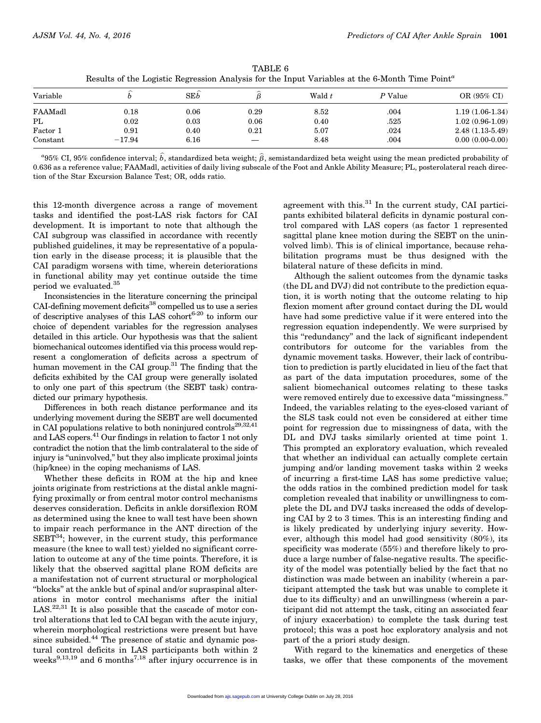|          | results of the Logistic Regression Analysis for the Hiput Variables at the o-Month Thile Follit |            |      |        |         |                   |
|----------|-------------------------------------------------------------------------------------------------|------------|------|--------|---------|-------------------|
| Variable |                                                                                                 | <b>SEb</b> |      | Wald t | P Value | OR (95% CI)       |
| FAAMadl  | 0.18                                                                                            | 0.06       | 0.29 | 8.52   | .004    | $1.19(1.06-1.34)$ |
| PL       | $0.02\,$                                                                                        | 0.03       | 0.06 | 0.40   | .525    | $1.02(0.96-1.09)$ |
| Factor 1 | 0.91                                                                                            | 0.40       | 0.21 | 5.07   | .024    | $2.48(1.13-5.49)$ |
| Constant | $-17.94$                                                                                        | 6.16       |      | 8.48   | .004    | $0.00(0.00-0.00)$ |

TABLE 6 Results of the Logistic Regression Analysis for the Input Variables at the 6-Month Time Point<sup>a</sup>

 $^a$ 95% CI, 95% confidence interval;  $\hat{b}$ , standardized beta weight;  $\widehat{\beta}$ , semistandardized beta weight using the mean predicted probability of 0.636 as a reference value; FAAMadl, activities of daily living subscale of the Foot and Ankle Ability Measure; PL, posterolateral reach direction of the Star Excursion Balance Test; OR, odds ratio.

this 12-month divergence across a range of movement tasks and identified the post-LAS risk factors for CAI development. It is important to note that although the CAI subgroup was classified in accordance with recently published guidelines, it may be representative of a population early in the disease process; it is plausible that the CAI paradigm worsens with time, wherein deteriorations in functional ability may yet continue outside the time period we evaluated.<sup>35</sup>

Inconsistencies in the literature concerning the principal  $CAI$ -defining movement deficits<sup>38</sup> compelled us to use a series of descriptive analyses of this LAS cohort<sup>6-20</sup> to inform our choice of dependent variables for the regression analyses detailed in this article. Our hypothesis was that the salient biomechanical outcomes identified via this process would represent a conglomeration of deficits across a spectrum of human movement in the CAI group.<sup>31</sup> The finding that the deficits exhibited by the CAI group were generally isolated to only one part of this spectrum (the SEBT task) contradicted our primary hypothesis.

Differences in both reach distance performance and its underlying movement during the SEBT are well documented in CAI populations relative to both noninjured controls $^{29,32,41}$ and LAS copers.41 Our findings in relation to factor 1 not only contradict the notion that the limb contralateral to the side of injury is "uninvolved," but they also implicate proximal joints (hip/knee) in the coping mechanisms of LAS.

Whether these deficits in ROM at the hip and knee joints originate from restrictions at the distal ankle magnifying proximally or from central motor control mechanisms deserves consideration. Deficits in ankle dorsiflexion ROM as determined using the knee to wall test have been shown to impair reach performance in the ANT direction of the  $SEBT^{34}$ ; however, in the current study, this performance measure (the knee to wall test) yielded no significant correlation to outcome at any of the time points. Therefore, it is likely that the observed sagittal plane ROM deficits are a manifestation not of current structural or morphological ''blocks'' at the ankle but of spinal and/or supraspinal alterations in motor control mechanisms after the initial  $LAS.<sup>22,31</sup>$  It is also possible that the cascade of motor control alterations that led to CAI began with the acute injury, wherein morphological restrictions were present but have since subsided.<sup>44</sup> The presence of static and dynamic postural control deficits in LAS participants both within 2 weeks<sup>9,13,19</sup> and 6 months<sup>7,18</sup> after injury occurrence is in

agreement with this. $31$  In the current study, CAI participants exhibited bilateral deficits in dynamic postural control compared with LAS copers (as factor 1 represented sagittal plane knee motion during the SEBT on the uninvolved limb). This is of clinical importance, because rehabilitation programs must be thus designed with the bilateral nature of these deficits in mind.

Although the salient outcomes from the dynamic tasks (the DL and DVJ) did not contribute to the prediction equation, it is worth noting that the outcome relating to hip flexion moment after ground contact during the DL would have had some predictive value if it were entered into the regression equation independently. We were surprised by this ''redundancy'' and the lack of significant independent contributors for outcome for the variables from the dynamic movement tasks. However, their lack of contribution to prediction is partly elucidated in lieu of the fact that as part of the data imputation procedures, some of the salient biomechanical outcomes relating to these tasks were removed entirely due to excessive data "missingness." Indeed, the variables relating to the eyes-closed variant of the SLS task could not even be considered at either time point for regression due to missingness of data, with the DL and DVJ tasks similarly oriented at time point 1. This prompted an exploratory evaluation, which revealed that whether an individual can actually complete certain jumping and/or landing movement tasks within 2 weeks of incurring a first-time LAS has some predictive value; the odds ratios in the combined prediction model for task completion revealed that inability or unwillingness to complete the DL and DVJ tasks increased the odds of developing CAI by 2 to 3 times. This is an interesting finding and is likely predicated by underlying injury severity. However, although this model had good sensitivity (80%), its specificity was moderate (55%) and therefore likely to produce a large number of false-negative results. The specificity of the model was potentially belied by the fact that no distinction was made between an inability (wherein a participant attempted the task but was unable to complete it due to its difficulty) and an unwillingness (wherein a participant did not attempt the task, citing an associated fear of injury exacerbation) to complete the task during test protocol; this was a post hoc exploratory analysis and not part of the a priori study design.

With regard to the kinematics and energetics of these tasks, we offer that these components of the movement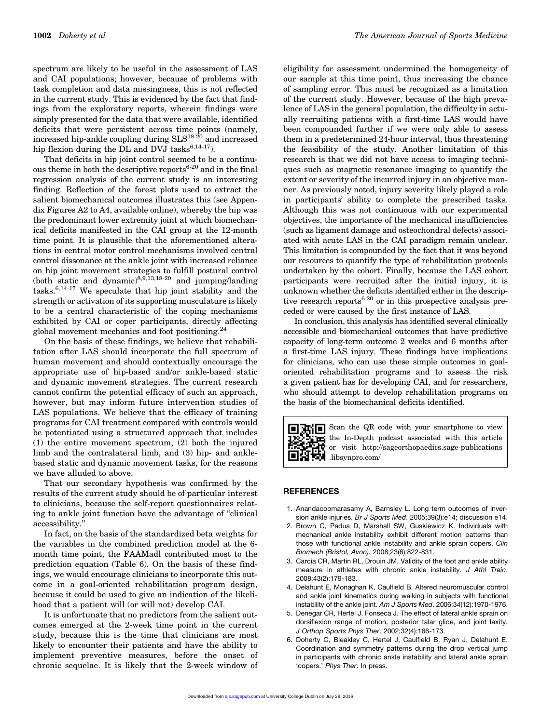spectrum are likely to be useful in the assessment of LAS and CAI populations; however, because of problems with task completion and data missingness, this is not reflected in the current study. This is evidenced by the fact that findings from the exploratory reports, wherein findings were simply presented for the data that were available, identified deficits that were persistent across time points (namely, increased hip-ankle coupling during SLS18-20 and increased hip flexion during the  $\tilde{DL}$  and  $\tilde{DVJ}$  tasks<sup>6,14-17</sup>).

That deficits in hip joint control seemed to be a continuous theme in both the descriptive reports<sup>6-20</sup> and in the final regression analysis of the current study is an interesting finding. Reflection of the forest plots used to extract the salient biomechanical outcomes illustrates this (see Appendix Figures A2 to A4, available online), whereby the hip was the predominant lower extremity joint at which biomechanical deficits manifested in the CAI group at the 12-month time point. It is plausible that the aforementioned alterations in central motor control mechanisms involved central control dissonance at the ankle joint with increased reliance on hip joint movement strategies to fulfill postural control (both static and dynamic)<sup>8,9,13,18-20</sup> and jumping/landing tasks. $6,14-17$  We speculate that hip joint stability and the strength or activation of its supporting musculature is likely to be a central characteristic of the coping mechanisms exhibited by CAI or coper participants, directly affecting global movement mechanics and foot positioning.<sup>24</sup>

On the basis of these findings, we believe that rehabilitation after LAS should incorporate the full spectrum of human movement and should contextually encourage the appropriate use of hip-based and/or ankle-based static and dynamic movement strategies. The current research cannot confirm the potential efficacy of such an approach, however, but may inform future intervention studies of LAS populations. We believe that the efficacy of training programs for CAI treatment compared with controls would be potentiated using a structured approach that includes (1) the entire movement spectrum, (2) both the injured limb and the contralateral limb, and (3) hip- and anklebased static and dynamic movement tasks, for the reasons we have alluded to above.

That our secondary hypothesis was confirmed by the results of the current study should be of particular interest to clinicians, because the self-report questionnaires relating to ankle joint function have the advantage of ''clinical accessibility.''

In fact, on the basis of the standardized beta weights for the variables in the combined prediction model at the 6 month time point, the FAAMadl contributed most to the prediction equation (Table 6). On the basis of these findings, we would encourage clinicians to incorporate this outcome in a goal-oriented rehabilitation program design, because it could be used to give an indication of the likelihood that a patient will (or will not) develop CAI.

It is unfortunate that no predictors from the salient outcomes emerged at the 2-week time point in the current study, because this is the time that clinicians are most likely to encounter their patients and have the ability to implement preventive measures, before the onset of chronic sequelae. It is likely that the 2-week window of eligibility for assessment undermined the homogeneity of our sample at this time point, thus increasing the chance of sampling error. This must be recognized as a limitation of the current study. However, because of the high prevalence of LAS in the general population, the difficulty in actually recruiting patients with a first-time LAS would have been compounded further if we were only able to assess them in a predetermined 24-hour interval, thus threatening the feasibility of the study. Another limitation of this research is that we did not have access to imaging techniques such as magnetic resonance imaging to quantify the extent or severity of the incurred injury in an objective manner. As previously noted, injury severity likely played a role in participants' ability to complete the prescribed tasks. Although this was not continuous with our experimental objectives, the importance of the mechanical insufficiencies (such as ligament damage and osteochondral defects) associated with acute LAS in the CAI paradigm remain unclear. This limitation is compounded by the fact that it was beyond our resources to quantify the type of rehabilitation protocols undertaken by the cohort. Finally, because the LAS cohort participants were recruited after the initial injury, it is unknown whether the deficits identified either in the descriptive research reports<sup>6-20</sup> or in this prospective analysis preceded or were caused by the first instance of LAS.

In conclusion, this analysis has identified several clinically accessible and biomechanical outcomes that have predictive capacity of long-term outcome 2 weeks and 6 months after a first-time LAS injury. These findings have implications for clinicians, who can use these simple outcomes in goaloriented rehabilitation programs and to assess the risk a given patient has for developing CAI, and for researchers, who should attempt to develop rehabilitation programs on the basis of the biomechanical deficits identified.

Scan the QR code with your smartphone to view п the In-Depth podcast associated with this article [or visit http://sageorthopaedics.sage-publications](http://sageorthopaedics.sage-publications.libsynpro.com/) .libsynpro.com/

#### **REFERENCES**

- 1. Anandacoomarasamy A, Barnsley L. Long term outcomes of inversion ankle injuries. *Br J Sports Med*. 2005;39(3):e14; discussion e14.
- 2. Brown C, Padua D, Marshall SW, Guskiewicz K. Individuals with mechanical ankle instability exhibit different motion patterns than those with functional ankle instability and ankle sprain copers. *Clin Biomech (Bristol, Avon)*. 2008;23(6):822-831.
- 3. Carcia CR, Martin RL, Drouin JM. Validity of the foot and ankle ability measure in athletes with chronic ankle instability. *J Athl Train*. 2008;43(2):179-183.
- 4. Delahunt E, Monaghan K, Caulfield B. Altered neuromuscular control and ankle joint kinematics during walking in subjects with functional instability of the ankle joint. *Am J Sports Med*. 2006;34(12):1970-1976.
- 5. Denegar CR, Hertel J, Fonseca J. The effect of lateral ankle sprain on dorsiflexion range of motion, posterior talar glide, and joint laxity. *J Orthop Sports Phys Ther*. 2002;32(4):166-173.
- 6. Doherty C, Bleakley C, Hertel J, Caulfield B, Ryan J, Delahunt E. Coordination and symmetry patterns during the drop vertical jump in participants with chronic ankle instability and lateral ankle sprain 'copers.' *Phys Ther*. In press.